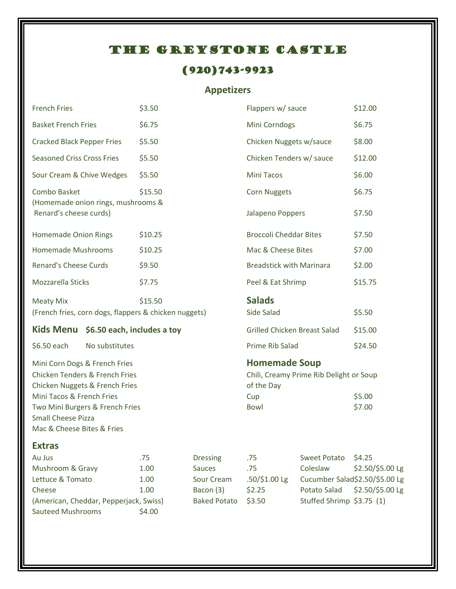## The Greystone Castle

## (920)743-9923

## **Appetizers**

| <b>French Fries</b>                                                                                                     | \$3.50                      |                                                             | Flappers w/ sauce                                                             |                                                 | \$12.00                                                                          |
|-------------------------------------------------------------------------------------------------------------------------|-----------------------------|-------------------------------------------------------------|-------------------------------------------------------------------------------|-------------------------------------------------|----------------------------------------------------------------------------------|
| <b>Basket French Fries</b>                                                                                              | \$6.75                      |                                                             | Mini Corndogs                                                                 |                                                 | \$6.75                                                                           |
| <b>Cracked Black Pepper Fries</b>                                                                                       | \$5.50                      |                                                             |                                                                               | Chicken Nuggets w/sauce                         |                                                                                  |
| <b>Seasoned Criss Cross Fries</b>                                                                                       | \$5.50                      |                                                             | Chicken Tenders w/ sauce                                                      |                                                 | \$12.00                                                                          |
| Sour Cream & Chive Wedges                                                                                               | \$5.50                      |                                                             | Mini Tacos                                                                    |                                                 | \$6.00                                                                           |
| Combo Basket<br>(Homemade onion rings, mushrooms &                                                                      | \$15.50                     |                                                             | <b>Corn Nuggets</b>                                                           |                                                 | \$6.75                                                                           |
| Renard's cheese curds)                                                                                                  |                             |                                                             | Jalapeno Poppers                                                              |                                                 | \$7.50                                                                           |
| <b>Homemade Onion Rings</b>                                                                                             | \$10.25                     |                                                             | <b>Broccoli Cheddar Bites</b>                                                 |                                                 | \$7.50                                                                           |
| Homemade Mushrooms                                                                                                      | \$10.25                     |                                                             | Mac & Cheese Bites                                                            |                                                 | \$7.00                                                                           |
| Renard's Cheese Curds                                                                                                   | \$9.50                      |                                                             | <b>Breadstick with Marinara</b>                                               |                                                 | \$2.00                                                                           |
| Mozzarella Sticks                                                                                                       | \$7.75                      |                                                             | Peel & Eat Shrimp                                                             |                                                 | \$15.75                                                                          |
| \$15.50<br><b>Meaty Mix</b>                                                                                             |                             |                                                             | <b>Salads</b>                                                                 |                                                 |                                                                                  |
| (French fries, corn dogs, flappers & chicken nuggets)                                                                   |                             |                                                             | Side Salad                                                                    |                                                 | \$5.50                                                                           |
| <b>Kids Menu</b><br>\$6.50 each, includes a toy                                                                         |                             |                                                             | <b>Grilled Chicken Breast Salad</b>                                           |                                                 | \$15.00                                                                          |
| \$6.50 each<br>No substitutes                                                                                           |                             |                                                             | Prime Rib Salad                                                               |                                                 | \$24.50                                                                          |
| Mini Corn Dogs & French Fries<br><b>Chicken Tenders &amp; French Fries</b><br>Chicken Nuggets & French Fries            |                             |                                                             | <b>Homemade Soup</b><br>Chili, Creamy Prime Rib Delight or Soup<br>of the Day |                                                 |                                                                                  |
| Mini Tacos & French Fries<br>Two Mini Burgers & French Fries<br><b>Small Cheese Pizza</b><br>Mac & Cheese Bites & Fries |                             |                                                             | Cup<br><b>Bowl</b>                                                            |                                                 | \$5.00<br>\$7.00                                                                 |
| <b>Extras</b>                                                                                                           |                             |                                                             |                                                                               |                                                 |                                                                                  |
| Au Jus<br>Mushroom & Gravy<br>Lettuce & Tomato<br>Cheese                                                                | .75<br>1.00<br>1.00<br>1.00 | <b>Dressing</b><br><b>Sauces</b><br>Sour Cream<br>Bacon (3) | .75<br>.75<br>.50/\$1.00 Lg<br>\$2.25                                         | <b>Sweet Potato</b><br>Coleslaw<br>Potato Salad | \$4.25<br>\$2.50/\$5.00 Lg<br>Cucumber Salad\$2.50/\$5.00 Lg<br>\$2.50/\$5.00 Lg |
| (American, Cheddar, Pepperjack, Swiss)<br><b>Sauteed Mushrooms</b>                                                      | \$4.00                      | <b>Baked Potato</b>                                         | \$3.50                                                                        | Stuffed Shrimp \$3.75 (1)                       |                                                                                  |